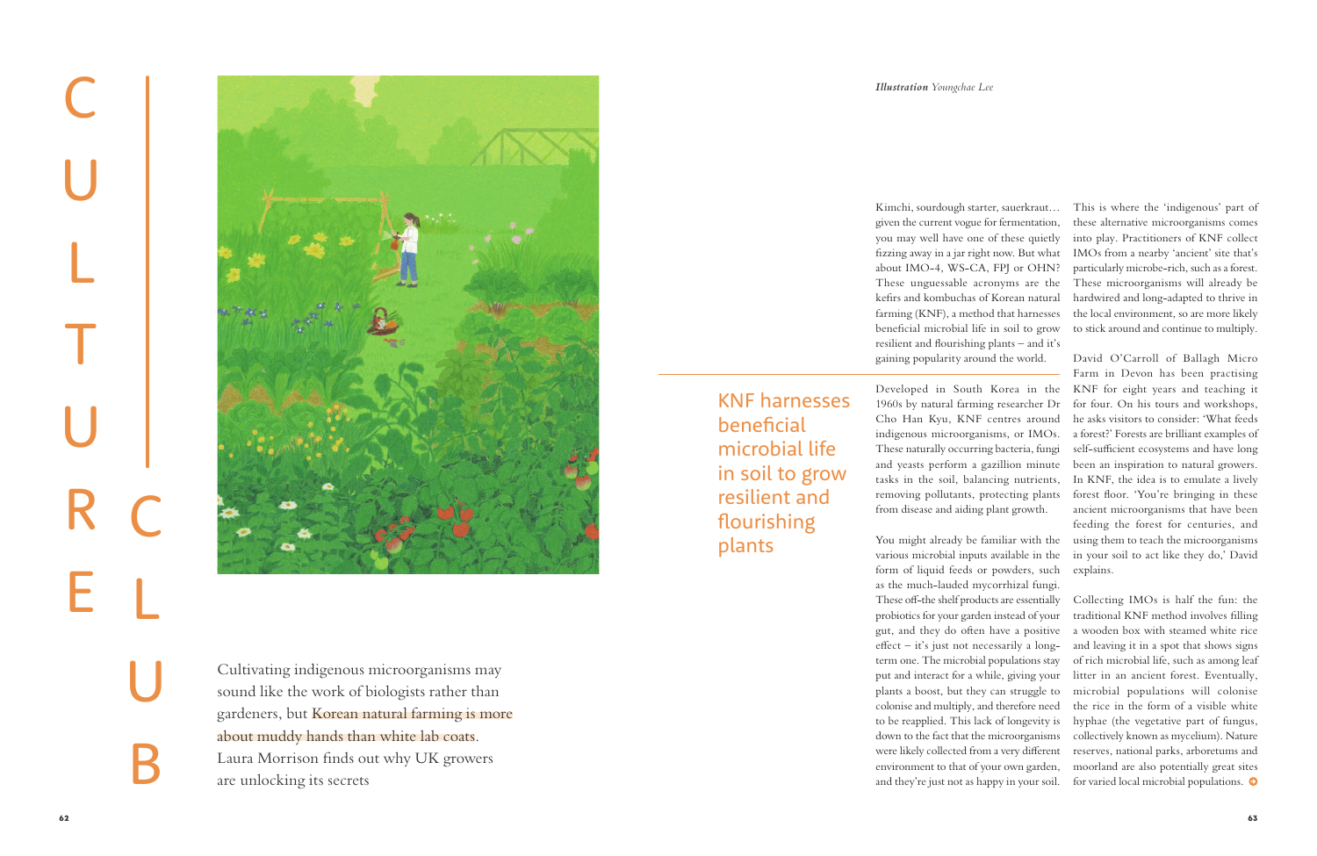Cultivating indigenous microorganisms may sound like the work of biologists rather than gardeners, but Korean natural farming is more about muddy hands than white lab coats. Laura Morrison finds out why UK growers are unlocking its secrets

## *Illustration Youngchae Lee*

C<br>U<br>R<br>R<br>R E C<br>L<br>B<br>B



Kimchi, sourdough starter, sauerkraut… given the current vogue for fermentation, you may well have one of these quietly fizzing away in a jar right now. But what about IMO-4, WS-CA, FPJ or OHN? These unguessable acronyms are the kefirs and kombuchas of Korean natural farming (KNF), a method that harnesses beneficial microbial life in soil to grow resilient and flourishing plants – and it's gaining popularity around the world.

Developed in South Korea in the 1960s by natural farming researcher Dr Cho Han Kyu, KNF centres around indigenous microorganisms, or IMOs. These naturally occurring bacteria, fungi and yeasts perform a gazillion minute tasks in the soil, balancing nutrients, removing pollutants, protecting plants from disease and aiding plant growth.

You might already be familiar with the various microbial inputs available in the form of liquid feeds or powders, such as the much-lauded mycorrhizal fungi. These off-the shelf products are essentially probiotics for your garden instead of your gut, and they do often have a positive effect – it's just not necessarily a longterm one. The microbial populations stay put and interact for a while, giving your plants a boost, but they can struggle to colonise and multiply, and therefore need to be reapplied. This lack of longevity is down to the fact that the microorganisms were likely collected from a very different environment to that of your own garden,

KNF harnesses beneficial microbial life in soil to grow resilient and flourishing plants

This is where the 'indigenous' part of these alternative microorganisms comes into play. Practitioners of KNF collect IMOs from a nearby 'ancient' site that's particularly microbe-rich, such as a forest. These microorganisms will already be hardwired and long-adapted to thrive in the local environment, so are more likely to stick around and continue to multiply.

and they're just not as happy in your soil. for varied local microbial populations.Collecting IMOs is half the fun: the traditional KNF method involves filling a wooden box with steamed white rice and leaving it in a spot that shows signs of rich microbial life, such as among leaf litter in an ancient forest. Eventually, microbial populations will colonise the rice in the form of a visible white hyphae (the vegetative part of fungus, collectively known as mycelium). Nature reserves, national parks, arboretums and moorland are also potentially great sites

David O'Carroll of Ballagh Micro Farm in Devon has been practising KNF for eight years and teaching it for four. On his tours and workshops, he asks visitors to consider: 'What feeds a forest?' Forests are brilliant examples of self-sufficient ecosystems and have long been an inspiration to natural growers. In KNF, the idea is to emulate a lively forest floor. 'You're bringing in these ancient microorganisms that have been feeding the forest for centuries, and using them to teach the microorganisms in your soil to act like they do,' David explains.